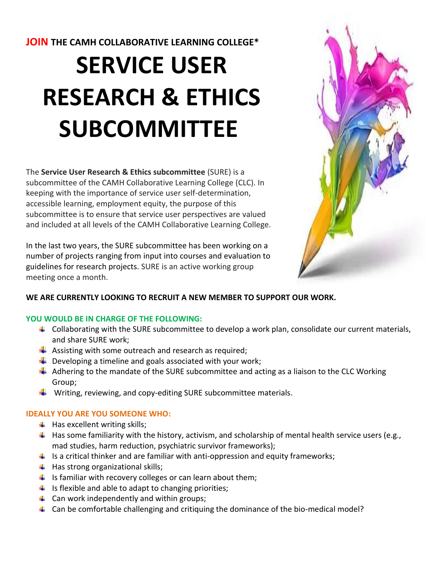**JOIN THE CAMH COLLABORATIVE LEARNING COLLEGE\***

# **SERVICE USER RESEARCH & ETHICS SUBCOMMITTEE**

The **Service User Research & Ethics subcommittee** (SURE) is a subcommittee of the CAMH Collaborative Learning College (CLC). In keeping with the importance of service user self-determination, accessible learning, employment equity, the purpose of this subcommittee is to ensure that service user perspectives are valued and included at all levels of the CAMH Collaborative Learning College.

In the last two years, the SURE subcommittee has been working on a number of projects ranging from input into courses and evaluation to guidelines for research projects. SURE is an active working group meeting once a month.



# **WE ARE CURRENTLY LOOKING TO RECRUIT A NEW MEMBER TO SUPPORT OUR WORK.**

## **YOU WOULD BE IN CHARGE OF THE FOLLOWING:**

- $\downarrow$  Collaborating with the SURE subcommittee to develop a work plan, consolidate our current materials, and share SURE work;
- $\downarrow$  Assisting with some outreach and research as required;
- $\downarrow$  Developing a timeline and goals associated with your work;
- $\ddot{+}$  Adhering to the mandate of the SURE subcommittee and acting as a liaison to the CLC Working Group;
- $\ddot{+}$  Writing, reviewing, and copy-editing SURE subcommittee materials.

# **IDEALLY YOU ARE YOU SOMEONE WHO:**

- $\ddot{+}$  Has excellent writing skills;
- $\ddot{\phantom{1}}$  Has some familiarity with the history, activism, and scholarship of mental health service users (e.g., mad studies, harm reduction, psychiatric survivor frameworks);
- Is a critical thinker and are familiar with anti-oppression and equity frameworks;
- $\downarrow$  Has strong organizational skills;
- $\ddot{\phantom{1}}$  Is familiar with recovery colleges or can learn about them;
- $\ddot{\phantom{1}}$  Is flexible and able to adapt to changing priorities;
- $\downarrow$  Can work independently and within groups;
- 4 Can be comfortable challenging and critiquing the dominance of the bio-medical model?